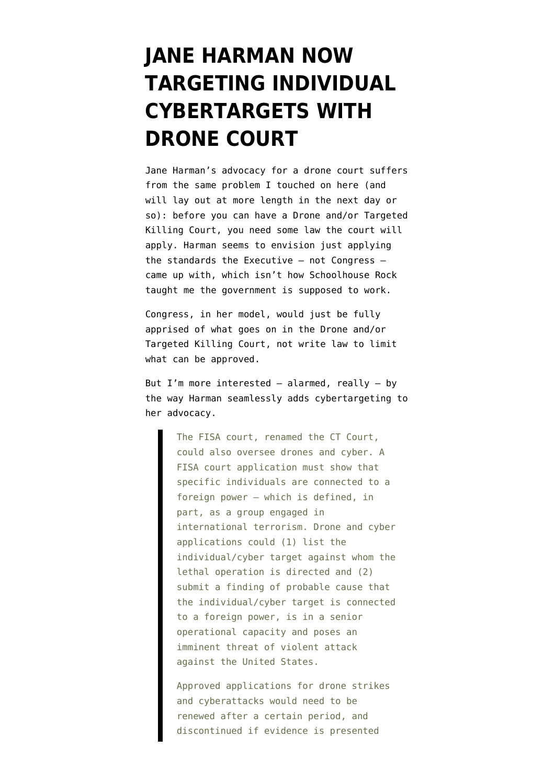## **[JANE HARMAN NOW](https://www.emptywheel.net/2013/02/19/jane-harman-now-targeting-individual-cybertargets-with-drone-court/) [TARGETING INDIVIDUAL](https://www.emptywheel.net/2013/02/19/jane-harman-now-targeting-individual-cybertargets-with-drone-court/) [CYBERTARGETS WITH](https://www.emptywheel.net/2013/02/19/jane-harman-now-targeting-individual-cybertargets-with-drone-court/) [DRONE COURT](https://www.emptywheel.net/2013/02/19/jane-harman-now-targeting-individual-cybertargets-with-drone-court/)**

Jane Harman's [advocacy](http://security.blogs.cnn.com/2013/02/19/harman-drone-courts-can-work/) for a drone court suffers from the same problem I touched on [here](http://www.emptywheel.net/2013/02/15/department-of-pre-crime-part-3-what-law-would-the-drone-andor-targeted-killing-court-interpret/) (and will lay out at more length in the next day or so): before you can have a Drone and/or Targeted Killing Court, you need some law the court will apply. Harman seems to envision just applying the standards the Executive — not Congress came up with, which isn't how Schoolhouse Rock taught me the government is supposed to work.

Congress, in her model, would just be fully apprised of what goes on in the Drone and/or Targeted Killing Court, not write law to limit what can be approved.

But I'm more interested  $-$  alarmed, really  $-$  by the way Harman seamlessly adds cybertargeting to her advocacy.

> The FISA court, renamed the CT Court, could also oversee drones and cyber. A FISA court application must show that specific individuals are connected to a foreign power – which is defined, in part, as a group engaged in international terrorism. Drone and cyber applications could (1) list the individual/cyber target against whom the lethal operation is directed and (2) submit a finding of probable cause that the individual/cyber target is connected to a foreign power, is in a senior operational capacity and poses an imminent threat of violent attack against the United States.

Approved applications for drone strikes and cyberattacks would need to be renewed after a certain period, and discontinued if evidence is presented